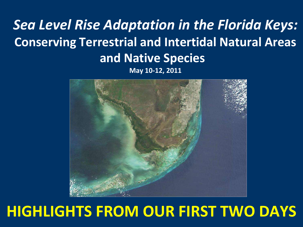# *Sea Level Rise Adaptation in the Florida Keys:* **Conserving Terrestrial and Intertidal Natural Areas and Native Species**





# **HIGHLIGHTS FROM OUR FIRST TWO DAYS**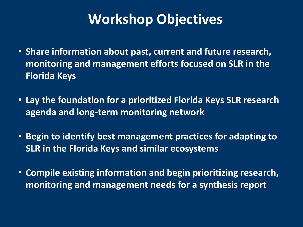## **Workshop Objectives**

- **Share information about past, current and future research, monitoring and management efforts focused on SLR in the Florida Keys**
- **Lay the foundation for a prioritized Florida Keys SLR research agenda and long-term monitoring network**
- **Begin to identify best management practices for adapting to SLR in the Florida Keys and similar ecosystems**
- **Compile existing information and begin prioritizing research, monitoring and management needs for a synthesis report**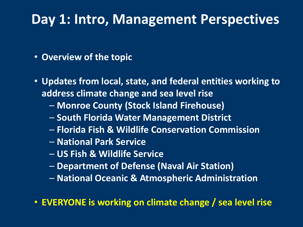#### **Day 1: Intro, Management Perspectives**

- **Overview of the topic**
- **Updates from local, state, and federal entities working to address climate change and sea level rise**
	- **Monroe County (Stock Island Firehouse)**
	- **South Florida Water Management District**
	- **Florida Fish & Wildlife Conservation Commission**
	- **National Park Service**
	- **US Fish & Wildlife Service**
	- **Department of Defense (Naval Air Station)**
	- **National Oceanic & Atmospheric Administration**
- **EVERYONE is working on climate change / sea level rise**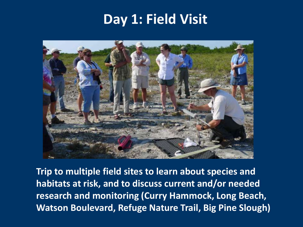### **Day 1: Field Visit**



**Trip to multiple field sites to learn about species and habitats at risk, and to discuss current and/or needed research and monitoring (Curry Hammock, Long Beach, Watson Boulevard, Refuge Nature Trail, Big Pine Slough)**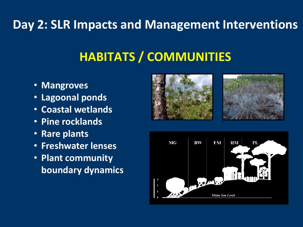#### **Day 2: SLR Impacts and Management Interventions**

# **HABITATS / COMMUNITIES**

- **Mangroves**
- **Lagoonal ponds**
- **Coastal wetlands**
- **Pine rocklands**
- **Rare plants**
- **Freshwater lenses**
- **Plant community boundary dynamics**





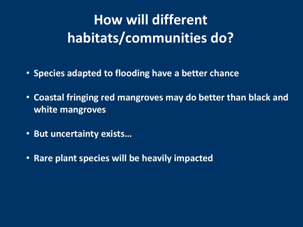# **How will different habitats/communities do?**

- **Species adapted to flooding have a better chance**
- **Coastal fringing red mangroves may do better than black and white mangroves**
- **But uncertainty exists…**
- **Rare plant species will be heavily impacted**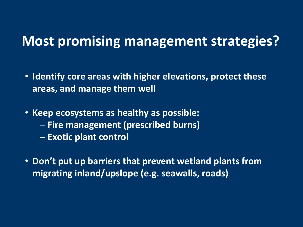- **Identify core areas with higher elevations, protect these areas, and manage them well**
- **Keep ecosystems as healthy as possible:**
	- **Fire management (prescribed burns)**
	- **Exotic plant control**
- **Don't put up barriers that prevent wetland plants from migrating inland/upslope (e.g. seawalls, roads)**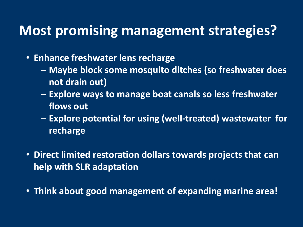• **Enhance freshwater lens recharge**

- **Maybe block some mosquito ditches (so freshwater does not drain out)**
- **Explore ways to manage boat canals so less freshwater flows out**
- **Explore potential for using (well-treated) wastewater for recharge**
- **Direct limited restoration dollars towards projects that can help with SLR adaptation**
- **Think about good management of expanding marine area!**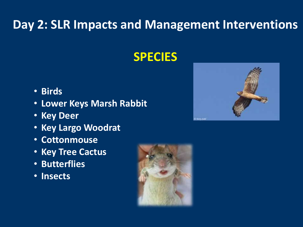#### **Day 2: SLR Impacts and Management Interventions**

#### **SPECIES**

- **Birds**
- **Lower Keys Marsh Rabbit**
- **Key Deer**
- **Key Largo Woodrat**
- **Cottonmouse**
- **Key Tree Cactus**
- **Butterflies**
- **Insects**



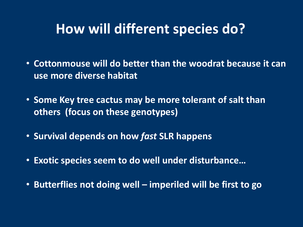### **How will different species do?**

- **Cottonmouse will do better than the woodrat because it can use more diverse habitat**
- **Some Key tree cactus may be more tolerant of salt than others (focus on these genotypes)**
- **Survival depends on how** *fast* **SLR happens**
- **Exotic species seem to do well under disturbance…**
- **Butterflies not doing well – imperiled will be first to go**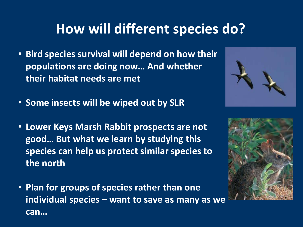# **How will different species do?**

- **Bird species survival will depend on how their populations are doing now… And whether their habitat needs are met**
- **Some insects will be wiped out by SLR**
- **Lower Keys Marsh Rabbit prospects are not good… But what we learn by studying this species can help us protect similar species to the north**
- **Plan for groups of species rather than one individual species – want to save as many as we can…**



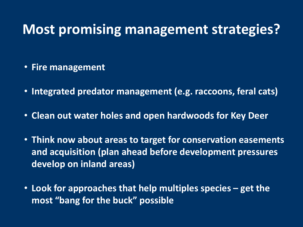- **Fire management**
- **Integrated predator management (e.g. raccoons, feral cats)**
- **Clean out water holes and open hardwoods for Key Deer**
- **Think now about areas to target for conservation easements and acquisition (plan ahead before development pressures develop on inland areas)**
- **Look for approaches that help multiples species – get the most "bang for the buck" possible**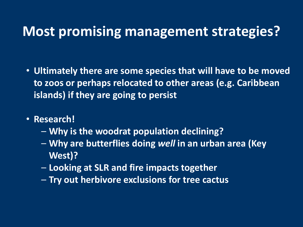- **Ultimately there are some species that will have to be moved to zoos or perhaps relocated to other areas (e.g. Caribbean islands) if they are going to persist**
- **Research!**
	- **Why is the woodrat population declining?**
	- **Why are butterflies doing** *well* **in an urban area (Key West)?**
	- **Looking at SLR and fire impacts together**
	- **Try out herbivore exclusions for tree cactus**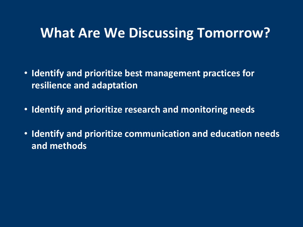#### **What Are We Discussing Tomorrow?**

- **Identify and prioritize best management practices for resilience and adaptation**
- **Identify and prioritize research and monitoring needs**
- **Identify and prioritize communication and education needs and methods**